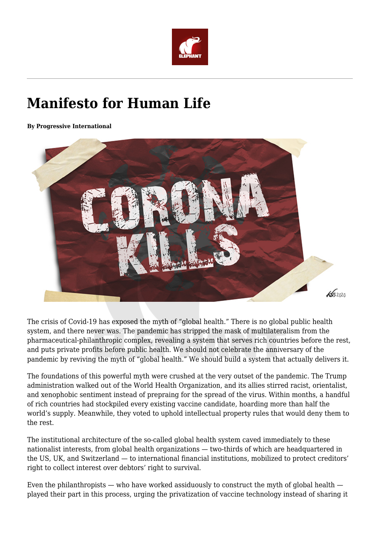

# **Manifesto for Human Life**

**By Progressive International**



The crisis of Covid-19 has exposed the myth of "global health." There is no global public health system, and there never was. The pandemic has stripped the mask of multilateralism from the pharmaceutical-philanthropic complex, revealing a system that serves rich countries before the rest, and puts private profits before public health. We should not celebrate the anniversary of the pandemic by reviving the myth of "global health." We should build a system that actually delivers it.

The foundations of this powerful myth were crushed at the very outset of the pandemic. The Trump administration walked out of the World Health Organization, and its allies stirred racist, orientalist, and xenophobic sentiment instead of prepraing for the spread of the virus. Within months, a handful of rich countries had stockpiled every existing vaccine candidate, hoarding more than half the world's supply. Meanwhile, they voted to uphold intellectual property rules that would deny them to the rest.

The institutional architecture of the so-called global health system caved immediately to these nationalist interests, from global health organizations — two-thirds of which are headquartered in the US, UK, and Switzerland — to international financial institutions, mobilized to protect creditors' right to collect interest over debtors' right to survival.

Even the philanthropists — who have worked assiduously to construct the myth of global health played their part in this process, urging the privatization of vaccine technology instead of sharing it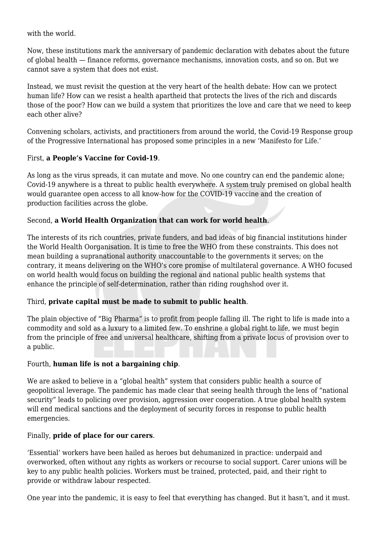with the world.

Now, these institutions mark the anniversary of pandemic declaration with debates about the future of global health — finance reforms, governance mechanisms, innovation costs, and so on. But we cannot save a system that does not exist.

Instead, we must revisit the question at the very heart of the health debate: How can we protect human life? How can we resist a health apartheid that protects the lives of the rich and discards those of the poor? How can we build a system that prioritizes the love and care that we need to keep each other alive?

Convening scholars, activists, and practitioners from around the world, the Covid-19 Response group of the Progressive International has proposed some principles in a new 'Manifesto for Life.'

## First, **a People's Vaccine for Covid-19**.

As long as the virus spreads, it can mutate and move. No one country can end the pandemic alone; Covid-19 anywhere is a threat to public health everywhere. A system truly premised on global health would guarantee open access to all know-how for the COVID-19 vaccine and the creation of production facilities across the globe.

## Second, **a World Health Organization that can work for world health**.

The interests of its rich countries, private funders, and bad ideas of big financial institutions hinder the World Health Oorganisation. It is time to free the WHO from these constraints. This does not mean building a supranational authority unaccountable to the governments it serves; on the contrary, it means delivering on the WHO's core promise of multilateral governance. A WHO focused on world health would focus on building the regional and national public health systems that enhance the principle of self-determination, rather than riding roughshod over it.

#### Third, **private capital must be made to submit to public health**.

The plain objective of "Big Pharma" is to profit from people falling ill. The right to life is made into a commodity and sold as a luxury to a limited few. To enshrine a global right to life, we must begin from the principle of free and universal healthcare, shifting from a private locus of provision over to a public.

#### Fourth, **human life is not a bargaining chip**.

We are asked to believe in a "global health" system that considers public health a source of geopolitical leverage. The pandemic has made clear that seeing health through the lens of "national security" leads to policing over provision, aggression over cooperation. A true global health system will end medical sanctions and the deployment of security forces in response to public health emergencies.

#### Finally, **pride of place for our carers**.

'Essential' workers have been hailed as heroes but dehumanized in practice: underpaid and overworked, often without any rights as workers or recourse to social support. Carer unions will be key to any public health policies. Workers must be trained, protected, paid, and their right to provide or withdraw labour respected.

One year into the pandemic, it is easy to feel that everything has changed. But it hasn't, and it must.